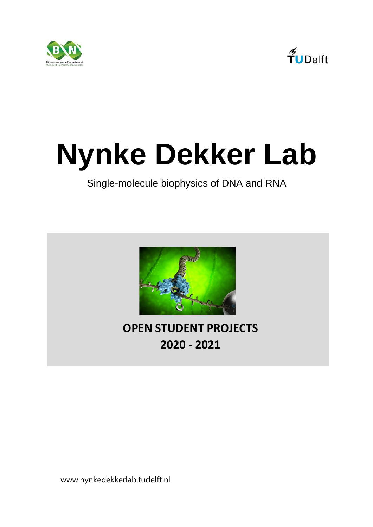



### **Nynke Dekker Lab**

### Single-molecule biophysics of DNA and RNA



### **OPEN STUDENT PROJECTS 2020 - 2021**

www.nynkedekkerlab.tudelft.nl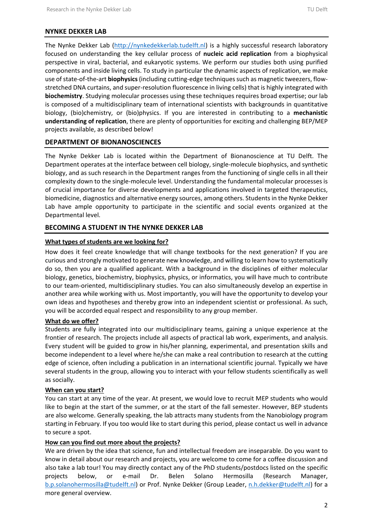### **NYNKE DEKKER LAB**

The Nynke Dekker Lab [\(http://nynkedekkerlab.tudelft.nl\)](http://nynkedekkerlab.tudelft.nl/) is a highly successful research laboratory focused on understanding the key cellular process of **nucleic acid replication** from a biophysical perspective in viral, bacterial, and eukaryotic systems. We perform our studies both using purified components and inside living cells. To study in particular the dynamic aspects of replication, we make use of state-of-the-art **biophysics** (including cutting-edge techniques such as magnetic tweezers, flowstretched DNA curtains, and super-resolution fluorescence in living cells) that is highly integrated with **biochemistry**. Studying molecular processes using these techniques requires broad expertise; our lab is composed of a multidisciplinary team of international scientists with backgrounds in quantitative biology, (bio)chemistry, or (bio)physics. If you are interested in contributing to a **mechanistic understanding of replication**, there are plenty of opportunities for exciting and challenging BEP/MEP projects available, as described below!

### **DEPARTMENT OF BIONANOSCIENCES**

The Nynke Dekker Lab is located within the Department of Bionanoscience at TU Delft. The Department operates at the interface between cell biology, single-molecule biophysics, and synthetic biology, and as such research in the Department ranges from the functioning of single cells in all their complexity down to the single-molecule level. Understanding the fundamental molecular processes is of crucial importance for diverse developments and applications involved in targeted therapeutics, biomedicine, diagnostics and alternative energy sources, among others. Students in the Nynke Dekker Lab have ample opportunity to participate in the scientific and social events organized at the Departmental level.

### **BECOMING A STUDENT IN THE NYNKE DEKKER LAB**

### **What types of students are we looking for?**

How does it feel create knowledge that will change textbooks for the next generation? If you are curious and strongly motivated to generate new knowledge, and willing to learn how to systematically do so, then you are a qualified applicant. With a background in the disciplines of either molecular biology, genetics, biochemistry, biophysics, physics, or informatics, you will have much to contribute to our team-oriented, multidisciplinary studies. You can also simultaneously develop an expertise in another area while working with us. Most importantly, you will have the opportunity to develop your own ideas and hypotheses and thereby grow into an independent scientist or professional. As such, you will be accorded equal respect and responsibility to any group member.

### **What do we offer?**

Students are fully integrated into our multidisciplinary teams, gaining a unique experience at the frontier of research. The projects include all aspects of practical lab work, experiments, and analysis. Every student will be guided to grow in his/her planning, experimental, and presentation skills and become independent to a level where he/she can make a real contribution to research at the cutting edge of science, often including a publication in an international scientific journal. Typically we have several students in the group, allowing you to interact with your fellow students scientifically as well as socially.

### **When can you start?**

You can start at any time of the year. At present, we would love to recruit MEP students who would like to begin at the start of the summer, or at the start of the fall semester. However, BEP students are also welcome. Generally speaking, the lab attracts many students from the Nanobiology program starting in February. If you too would like to start during this period, please contact us well in advance to secure a spot.

### **How can you find out more about the projects?**

We are driven by the idea that science, fun and intellectual freedom are inseparable. Do you want to know in detail about our research and projects, you are welcome to come for a coffee discussion and also take a lab tour! You may directly contact any of the PhD students/postdocs listed on the specific projects below, or e-mail Dr. Belen Solano Hermosilla (Research Manager, [b.p.solanohermosilla@tudelft.nl\)](mailto:b.p.solanohermosilla@tudelft.nl) or Prof. Nynke Dekker (Group Leader, [n.h.dekker@tudelft.nl\)](mailto:n.h.dekker@tudelft.nl) for a more general overview.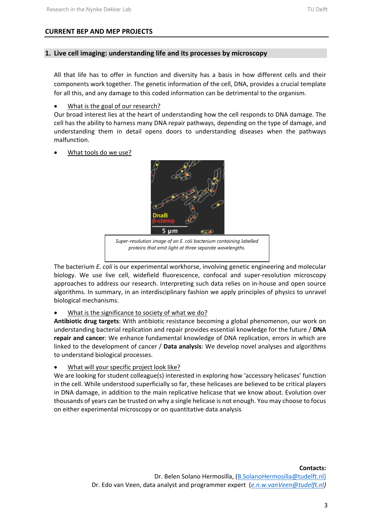### **1. Live cell imaging: understanding life and its processes by microscopy**

All that life has to offer in function and diversity has a basis in how different cells and their components work together. The genetic information of the cell, DNA, provides a crucial template for all this, and any damage to this coded information can be detrimental to the organism.

### What is the goal of our research?

Our broad interest lies at the heart of understanding how the cell responds to DNA damage. The cell has the ability to harness many DNA repair pathways, depending on the type of damage, and understanding them in detail opens doors to understanding diseases when the pathways malfunction.

• What tools do we use?



*Super-resolution image of an E. coli bacterium containing labelled proteins that emit light at three separate wavelengths.*

The bacterium *E. coli* is our experimental workhorse, involving genetic engineering and molecular biology. We use live cell, widefield fluorescence, confocal and super-resolution microscopy approaches to address our research. Interpreting such data relies on in-house and open source algorithms. In summary, in an interdisciplinary fashion we apply principles of physics to unravel biological mechanisms.

### What is the significance to society of what we do?

**Antibiotic drug targets**: With antibiotic resistance becoming a global phenomenon, our work on understanding bacterial replication and repair provides essential knowledge for the future / **DNA repair and cancer**: We enhance fundamental knowledge of DNA replication, errors in which are linked to the development of cancer / **Data analysis**: We develop novel analyses and algorithms to understand biological processes.

What will your specific project look like?

We are looking for student colleague(s) interested in exploring how 'accessory helicases' function in the cell. While understood superficially so far, these helicases are believed to be critical players in DNA damage, in addition to the main replicative helicase that we know about. Evolution over thousands of years can be trusted on why a single helicase is not enough. You may choose to focus on either experimental microscopy or on quantitative data analysis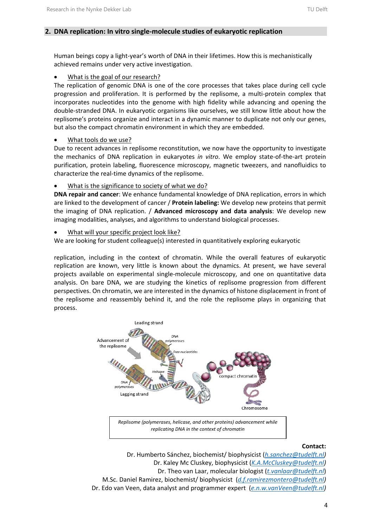### **2. DNA replication: In vitro single-molecule studies of eukaryotic replication**

Human beings copy a light-year's worth of DNA in their lifetimes. How this is mechanistically achieved remains under very active investigation.

What is the goal of our research?

The replication of genomic DNA is one of the core processes that takes place during cell cycle progression and proliferation. It is performed by the replisome, a multi-protein complex that incorporates nucleotides into the genome with high fidelity while advancing and opening the double-stranded DNA. In eukaryotic organisms like ourselves, we still know little about how the replisome's proteins organize and interact in a dynamic manner to duplicate not only our genes, but also the compact chromatin environment in which they are embedded.

• What tools do we use?

Due to recent advances in replisome reconstitution, we now have the opportunity to investigate the mechanics of DNA replication in eukaryotes *in vitro*. We employ state-of-the-art protein purification, protein labeling, fluorescence microscopy, magnetic tweezers, and nanofluidics to characterize the real-time dynamics of the replisome.

What is the significance to society of what we do?

**DNA repair and cancer**: We enhance fundamental knowledge of DNA replication, errors in which are linked to the development of cancer / **Protein labeling:** We develop new proteins that permit the imaging of DNA replication. / **Advanced microscopy and data analysis**: We develop new imaging modalities, analyses, and algorithms to understand biological processes.

• What will your specific project look like?

We are looking for student colleague(s) interested in quantitatively exploring eukaryotic

replication, including in the context of chromatin. While the overall features of eukaryotic replication are known, very little is known about the dynamics. At present, we have several projects available on experimental single-molecule microscopy, and one on quantitative data analysis. On bare DNA, we are studying the kinetics of replisome progression from different perspectives. On chromatin, we are interested in the dynamics of histone displacement in front of the replisome and reassembly behind it, and the role the replisome plays in organizing that process.



### **Contact:**

Dr. Humberto Sánchez, biochemist/ biophysicist (*[h.sanchez@tudelft.nl\)](mailto:h.sanchez@tudelft.nl)* Dr. Kaley Mc Cluskey, biophysicist (*[K.A.McCluskey@tudelft.nl\)](mailto:K.A.McCluskey@tudelft.nl)* Dr. Theo van Laar, molecular biologist (*t.vanlaar@tudelft.nl*) M.Sc. Daniel Ramirez, biochemist/ biophysicist (*[d.f.ramirezmontero@tudelft.nl\)](mailto:d.f.ramirezmontero@tudelft.nl)* Dr. Edo van Veen, data analyst and programmer expert (*[e.n.w.vanVeen@tudelft.nl\)](mailto:e.n.w.vanVeen@tudelft.nl)*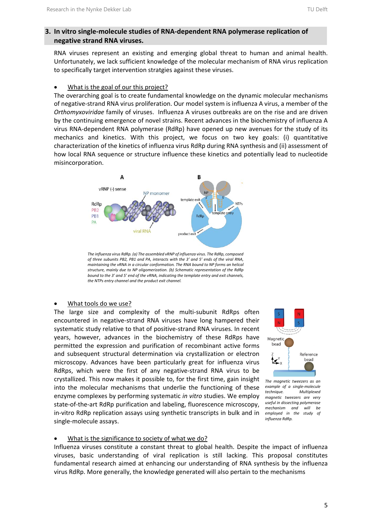### **3. In vitro single-molecule studies of RNA-dependent RNA polymerase replication of negative strand RNA viruses.**

RNA viruses represent an existing and emerging global threat to human and animal health. Unfortunately, we lack sufficient knowledge of the molecular mechanism of RNA virus replication to specifically target intervention stratgies against these viruses.

### What is the goal of our this project?

The overarching goal is to create fundamental knowledge on the dynamic molecular mechanisms of negative-strand RNA virus proliferation. Our model system is influenza A virus, a member of the *Orthomyxoviridae* family of viruses. Influenza A viruses outbreaks are on the rise and are driven by the continuing emergence of novel strains. Recent advances in the biochemistry of influenza A virus RNA-dependent RNA polymerase (RdRp) have opened up new avenues for the study of its mechanics and kinetics. With this project, we focus on two key goals: (i) quantitative characterization of the kinetics of influenza virus RdRp during RNA synthesis and (ii) assessment of how local RNA sequence or structure influence these kinetics and potentially lead to nucleotide misincorporation.



*The influenza virus RdRp. (a) The assembled vRNP of influenza virus. The RdRp, composed of three subunits PB2, PB1 and PA, interacts with the 3' and 5' ends of the viral RNA, maintaining the vRNA in a circular conformation. The RNA bound to NP forms an helical structure, mainly due to NP oligomerization. (b) Schematic representation of the RdRp bound to the 3' and 5' end of the vRNA, indicating the template entry and exit channels, the NTPs entry channel and the product exit channel.*

### What tools do we use?

The large size and complexity of the multi-subunit RdRps often encountered in negative-strand RNA viruses have long hampered their systematic study relative to that of positive-strand RNA viruses. In recent years, however, advances in the biochemistry of these RdRps have permitted the expression and purification of recombinant active forms and subsequent structural determination via crystallization or electron microscopy. Advances have been particularly great for influenza virus RdRps, which were the first of any negative-strand RNA virus to be crystallized. This now makes it possible to, for the first time, gain insight into the molecular mechanisms that underlie the functioning of these enzyme complexes by performing systematic *in vitro* studies. We employ state-of-the-art RdRp purification and labeling, fluorescence microscopy, in-vitro RdRp replication assays using synthetic transcripts in bulk and in single-molecule assays.



*The magnetic tweezers as an example of a single-molecule technique. Multiplexed magnetic tweezers are very useful in dissecting polymerase mechanism and will be employed in the study of influenza RdRp.*

### What is the significance to society of what we do?

Influenza viruses constitute a constant threat to global health. Despite the impact of influenza viruses, basic understanding of viral replication is still lacking. This proposal constitutes fundamental research aimed at enhancing our understanding of RNA synthesis by the influenza virus RdRp. More generally, the knowledge generated will also pertain to the mechanisms